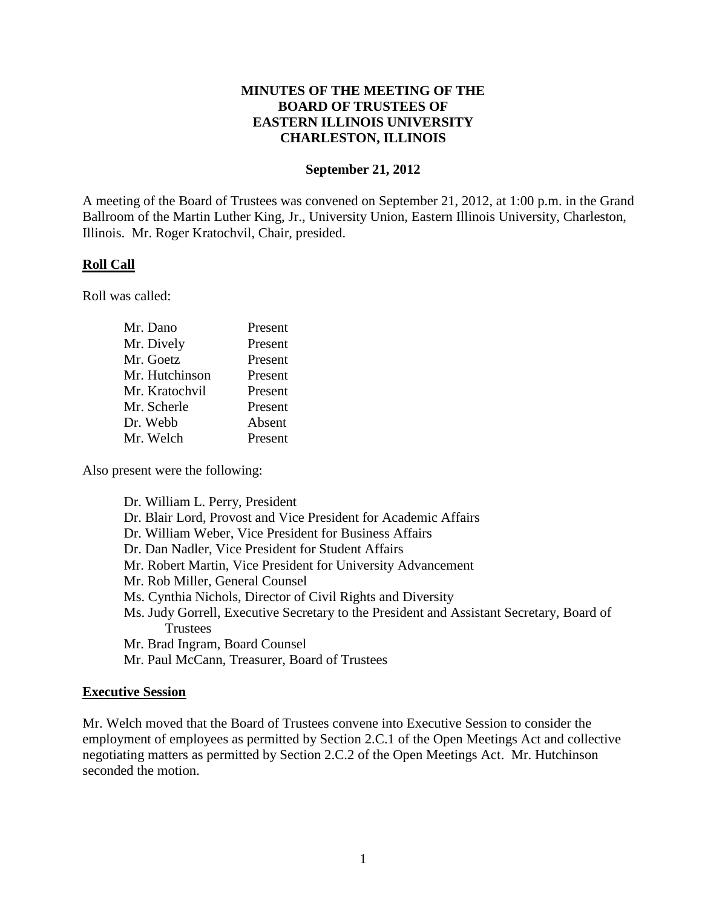## **MINUTES OF THE MEETING OF THE BOARD OF TRUSTEES OF EASTERN ILLINOIS UNIVERSITY CHARLESTON, ILLINOIS**

#### **September 21, 2012**

A meeting of the Board of Trustees was convened on September 21, 2012, at 1:00 p.m. in the Grand Ballroom of the Martin Luther King, Jr., University Union, Eastern Illinois University, Charleston, Illinois. Mr. Roger Kratochvil, Chair, presided.

#### **Roll Call**

Roll was called:

| Mr. Dano       | Present |
|----------------|---------|
| Mr. Dively     | Present |
| Mr. Goetz      | Present |
| Mr. Hutchinson | Present |
| Mr. Kratochvil | Present |
| Mr. Scherle    | Present |
| Dr. Webb       | Absent  |
| Mr. Welch      | Present |

Also present were the following:

Dr. William L. Perry, President Dr. Blair Lord, Provost and Vice President for Academic Affairs Dr. William Weber, Vice President for Business Affairs Dr. Dan Nadler, Vice President for Student Affairs Mr. Robert Martin, Vice President for University Advancement Mr. Rob Miller, General Counsel Ms. Cynthia Nichols, Director of Civil Rights and Diversity Ms. Judy Gorrell, Executive Secretary to the President and Assistant Secretary, Board of **Trustees** Mr. Brad Ingram, Board Counsel Mr. Paul McCann, Treasurer, Board of Trustees

#### **Executive Session**

Mr. Welch moved that the Board of Trustees convene into Executive Session to consider the employment of employees as permitted by Section 2.C.1 of the Open Meetings Act and collective negotiating matters as permitted by Section 2.C.2 of the Open Meetings Act. Mr. Hutchinson seconded the motion.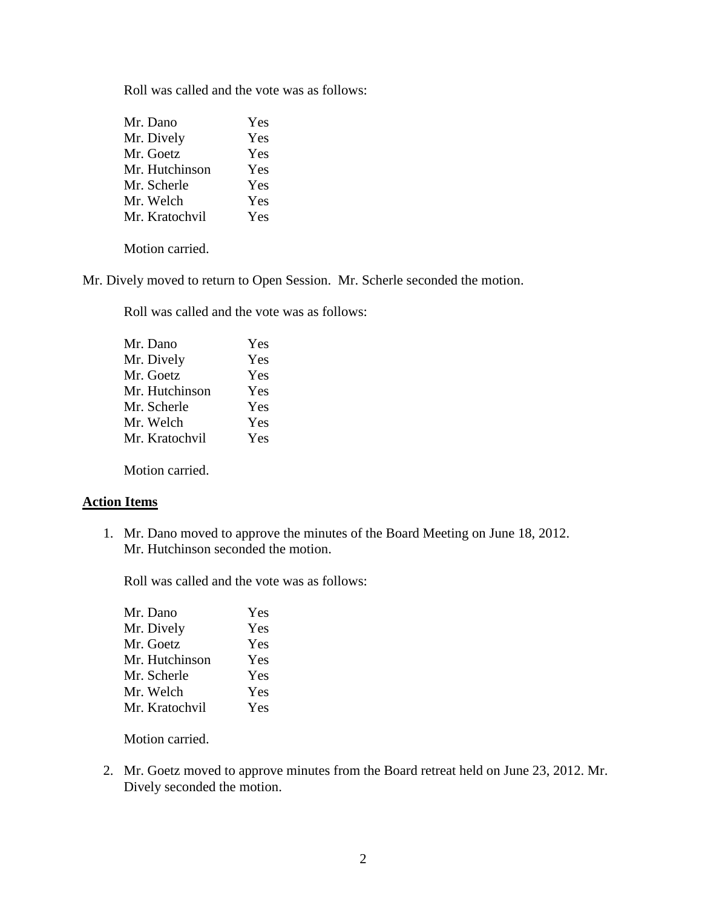Roll was called and the vote was as follows:

| Yes |
|-----|
| Yes |
| Yes |
| Yes |
| Yes |
| Yes |
| Yes |
|     |

Motion carried.

Mr. Dively moved to return to Open Session. Mr. Scherle seconded the motion.

Roll was called and the vote was as follows:

| Mr. Dano       | Yes |
|----------------|-----|
| Mr. Dively     | Yes |
| Mr. Goetz      | Yes |
| Mr. Hutchinson | Yes |
| Mr. Scherle    | Yes |
| Mr. Welch      | Yes |
| Mr. Kratochvil | Yes |
|                |     |

Motion carried.

#### **Action Items**

1. Mr. Dano moved to approve the minutes of the Board Meeting on June 18, 2012. Mr. Hutchinson seconded the motion.

Roll was called and the vote was as follows:

| Yes |
|-----|
| Yes |
| Yes |
| Yes |
| Yes |
| Yes |
| Yes |
|     |

Motion carried.

2. Mr. Goetz moved to approve minutes from the Board retreat held on June 23, 2012. Mr. Dively seconded the motion.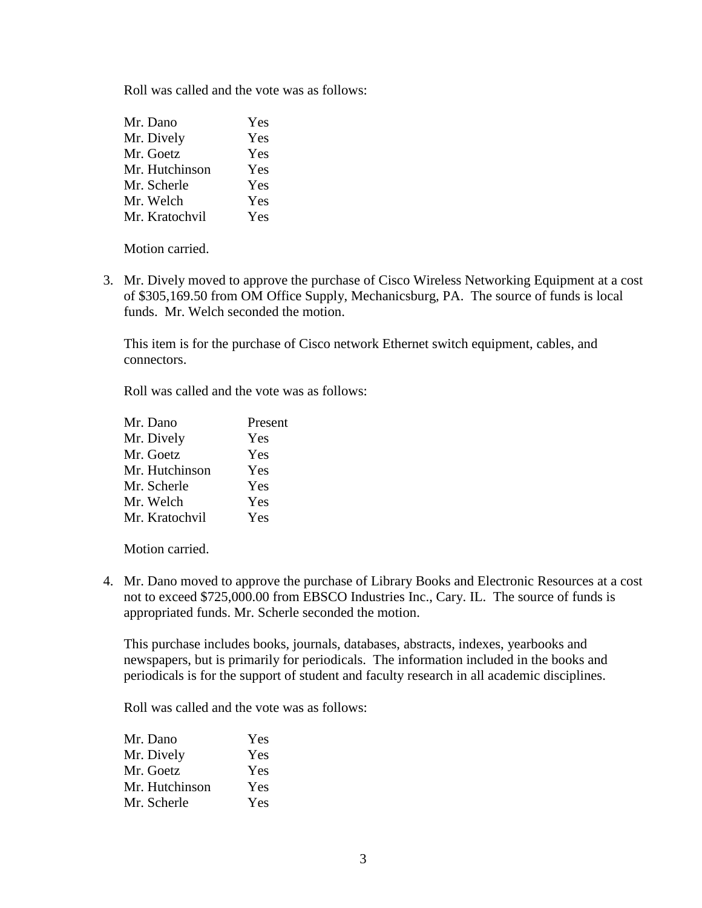Roll was called and the vote was as follows:

| Mr. Dano       | Yes |
|----------------|-----|
| Mr. Dively     | Yes |
| Mr. Goetz      | Yes |
| Mr. Hutchinson | Yes |
| Mr. Scherle    | Yes |
| Mr. Welch      | Yes |
| Mr. Kratochvil | Yes |

Motion carried.

3. Mr. Dively moved to approve the purchase of Cisco Wireless Networking Equipment at a cost of \$305,169.50 from OM Office Supply, Mechanicsburg, PA. The source of funds is local funds. Mr. Welch seconded the motion.

This item is for the purchase of Cisco network Ethernet switch equipment, cables, and connectors.

Roll was called and the vote was as follows:

| Mr. Dano       | Present |
|----------------|---------|
| Mr. Dively     | Yes     |
| Mr. Goetz      | Yes     |
| Mr. Hutchinson | Yes     |
| Mr. Scherle    | Yes     |
| Mr. Welch      | Yes     |
| Mr. Kratochvil | Yes     |

Motion carried.

4. Mr. Dano moved to approve the purchase of Library Books and Electronic Resources at a cost not to exceed \$725,000.00 from EBSCO Industries Inc., Cary. IL. The source of funds is appropriated funds. Mr. Scherle seconded the motion.

This purchase includes books, journals, databases, abstracts, indexes, yearbooks and newspapers, but is primarily for periodicals. The information included in the books and periodicals is for the support of student and faculty research in all academic disciplines.

Roll was called and the vote was as follows:

| Mr. Dano       | Yes |
|----------------|-----|
| Mr. Dively     | Yes |
| Mr. Goetz      | Yes |
| Mr. Hutchinson | Yes |
| Mr. Scherle    | Yes |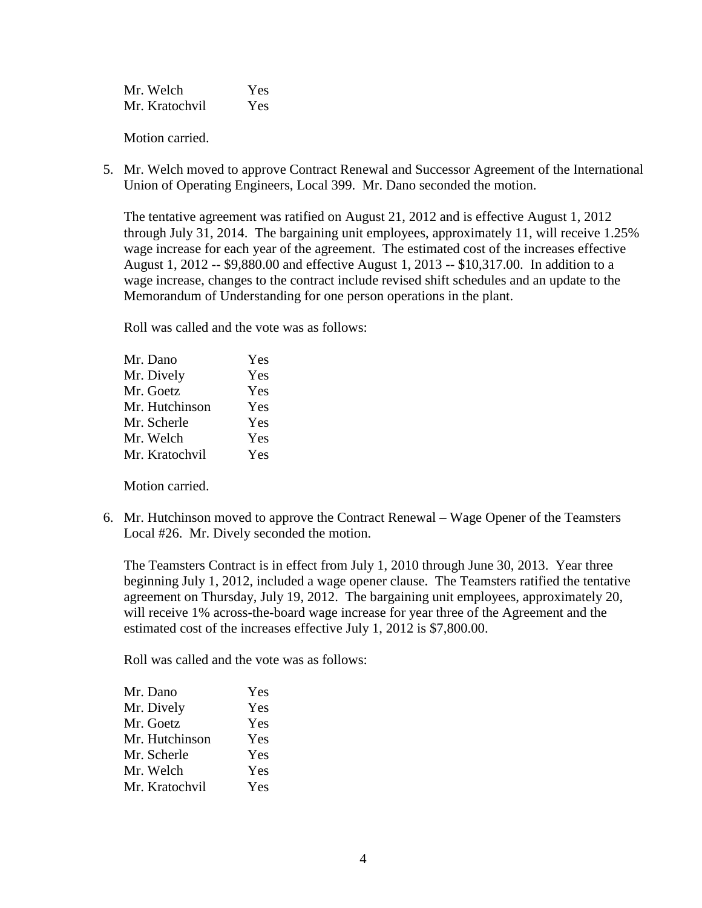Mr. Welch Yes Mr. Kratochvil Yes

Motion carried.

5. Mr. Welch moved to approve Contract Renewal and Successor Agreement of the International Union of Operating Engineers, Local 399. Mr. Dano seconded the motion.

The tentative agreement was ratified on August 21, 2012 and is effective August 1, 2012 through July 31, 2014. The bargaining unit employees, approximately 11, will receive 1.25% wage increase for each year of the agreement. The estimated cost of the increases effective August 1, 2012 -- \$9,880.00 and effective August 1, 2013 -- \$10,317.00. In addition to a wage increase, changes to the contract include revised shift schedules and an update to the Memorandum of Understanding for one person operations in the plant.

Roll was called and the vote was as follows:

| Yes |
|-----|
| Yes |
| Yes |
| Yes |
| Yes |
| Yes |
| Yes |
|     |

Motion carried.

6. Mr. Hutchinson moved to approve the Contract Renewal – Wage Opener of the Teamsters Local #26. Mr. Dively seconded the motion.

The Teamsters Contract is in effect from July 1, 2010 through June 30, 2013. Year three beginning July 1, 2012, included a wage opener clause. The Teamsters ratified the tentative agreement on Thursday, July 19, 2012. The bargaining unit employees, approximately 20, will receive 1% across-the-board wage increase for year three of the Agreement and the estimated cost of the increases effective July 1, 2012 is \$7,800.00.

Roll was called and the vote was as follows:

| Mr. Dano       | Yes |
|----------------|-----|
| Mr. Dively     | Yes |
| Mr. Goetz      | Yes |
| Mr. Hutchinson | Yes |
| Mr. Scherle    | Yes |
| Mr. Welch      | Yes |
| Mr. Kratochvil | Yes |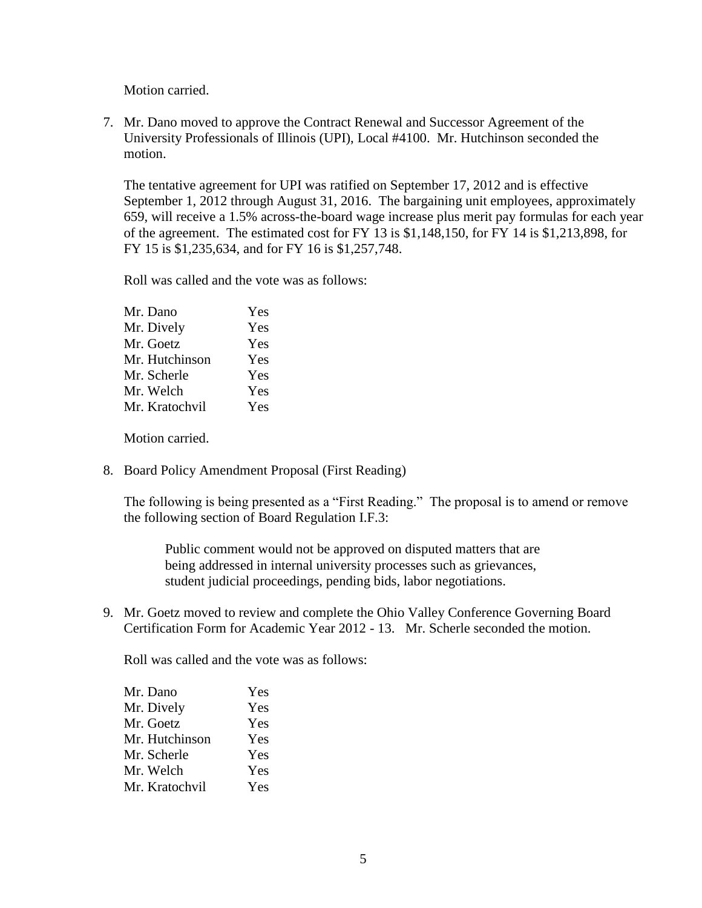Motion carried.

7. Mr. Dano moved to approve the Contract Renewal and Successor Agreement of the University Professionals of Illinois (UPI), Local #4100. Mr. Hutchinson seconded the motion.

The tentative agreement for UPI was ratified on September 17, 2012 and is effective September 1, 2012 through August 31, 2016. The bargaining unit employees, approximately 659, will receive a 1.5% across-the-board wage increase plus merit pay formulas for each year of the agreement. The estimated cost for FY 13 is \$1,148,150, for FY 14 is \$1,213,898, for FY 15 is \$1,235,634, and for FY 16 is \$1,257,748.

Roll was called and the vote was as follows:

| Yes |
|-----|
| Yes |
| Yes |
| Yes |
| Yes |
| Yes |
| Yes |
|     |

Motion carried.

8. Board Policy Amendment Proposal (First Reading)

The following is being presented as a "First Reading." The proposal is to amend or remove the following section of Board Regulation I.F.3:

Public comment would not be approved on disputed matters that are being addressed in internal university processes such as grievances, student judicial proceedings, pending bids, labor negotiations.

9. Mr. Goetz moved to review and complete the Ohio Valley Conference Governing Board Certification Form for Academic Year 2012 - 13. Mr. Scherle seconded the motion.

Roll was called and the vote was as follows:

| Yes |
|-----|
| Yes |
| Yes |
| Yes |
| Yes |
| Yes |
| Yes |
|     |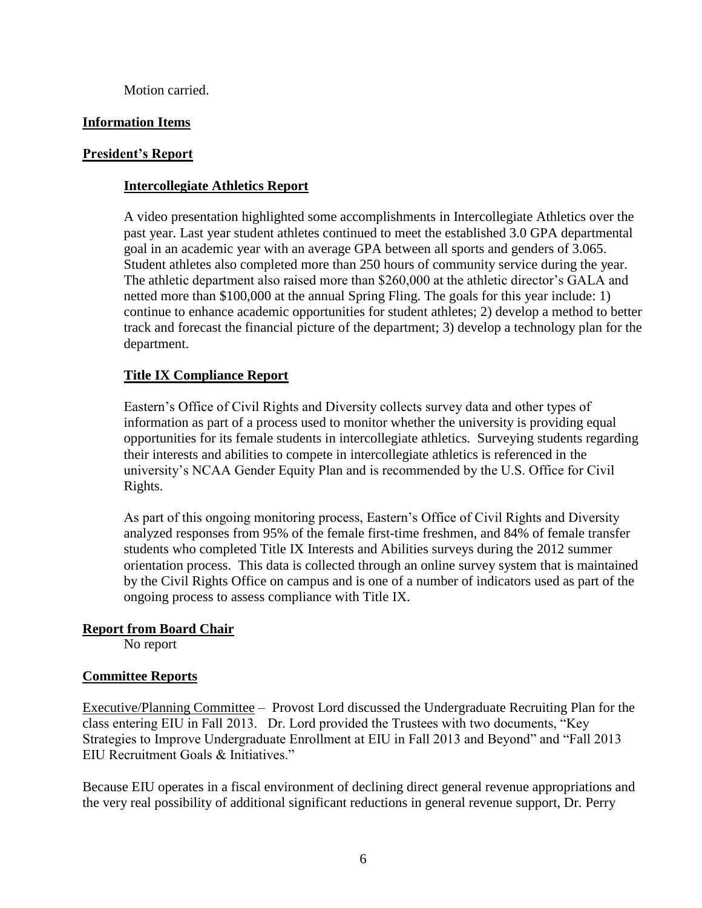Motion carried.

# **Information Items**

# **President's Report**

# **Intercollegiate Athletics Report**

A video presentation highlighted some accomplishments in Intercollegiate Athletics over the past year. Last year student athletes continued to meet the established 3.0 GPA departmental goal in an academic year with an average GPA between all sports and genders of 3.065. Student athletes also completed more than 250 hours of community service during the year. The athletic department also raised more than \$260,000 at the athletic director's GALA and netted more than \$100,000 at the annual Spring Fling. The goals for this year include: 1) continue to enhance academic opportunities for student athletes; 2) develop a method to better track and forecast the financial picture of the department; 3) develop a technology plan for the department.

# **Title IX Compliance Report**

Eastern's Office of Civil Rights and Diversity collects survey data and other types of information as part of a process used to monitor whether the university is providing equal opportunities for its female students in intercollegiate athletics. Surveying students regarding their interests and abilities to compete in intercollegiate athletics is referenced in the university's NCAA Gender Equity Plan and is recommended by the U.S. Office for Civil Rights.

As part of this ongoing monitoring process, Eastern's Office of Civil Rights and Diversity analyzed responses from 95% of the female first-time freshmen, and 84% of female transfer students who completed Title IX Interests and Abilities surveys during the 2012 summer orientation process. This data is collected through an online survey system that is maintained by the Civil Rights Office on campus and is one of a number of indicators used as part of the ongoing process to assess compliance with Title IX.

# **Report from Board Chair**

No report

# **Committee Reports**

Executive/Planning Committee – Provost Lord discussed the Undergraduate Recruiting Plan for the class entering EIU in Fall 2013. Dr. Lord provided the Trustees with two documents, "Key Strategies to Improve Undergraduate Enrollment at EIU in Fall 2013 and Beyond" and "Fall 2013 EIU Recruitment Goals & Initiatives."

Because EIU operates in a fiscal environment of declining direct general revenue appropriations and the very real possibility of additional significant reductions in general revenue support, Dr. Perry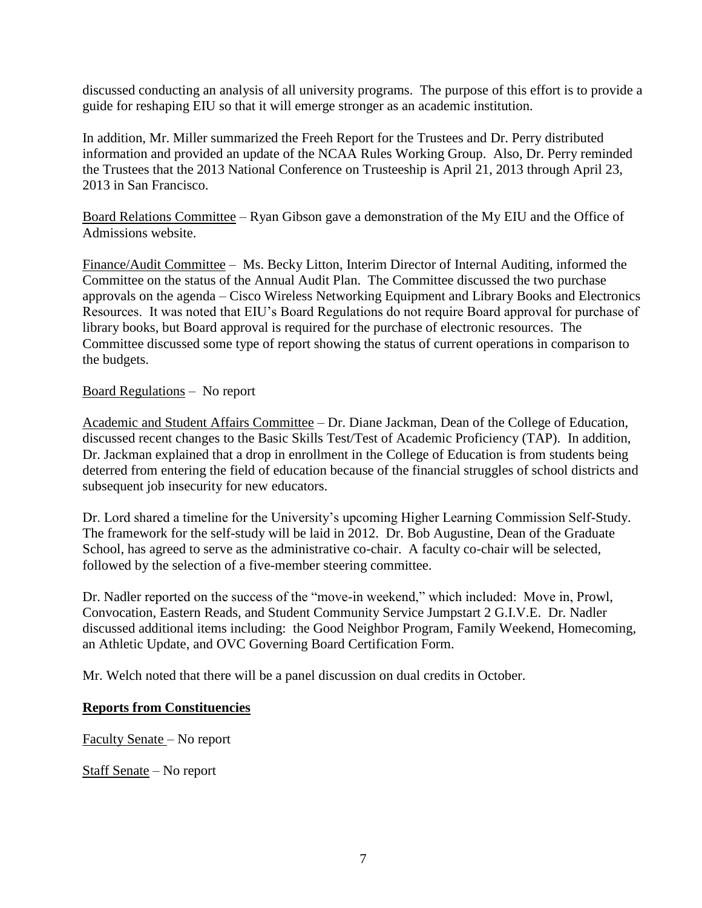discussed conducting an analysis of all university programs. The purpose of this effort is to provide a guide for reshaping EIU so that it will emerge stronger as an academic institution.

In addition, Mr. Miller summarized the Freeh Report for the Trustees and Dr. Perry distributed information and provided an update of the NCAA Rules Working Group. Also, Dr. Perry reminded the Trustees that the 2013 National Conference on Trusteeship is April 21, 2013 through April 23, 2013 in San Francisco.

Board Relations Committee – Ryan Gibson gave a demonstration of the My EIU and the Office of Admissions website.

Finance/Audit Committee – Ms. Becky Litton, Interim Director of Internal Auditing, informed the Committee on the status of the Annual Audit Plan. The Committee discussed the two purchase approvals on the agenda – Cisco Wireless Networking Equipment and Library Books and Electronics Resources. It was noted that EIU's Board Regulations do not require Board approval for purchase of library books, but Board approval is required for the purchase of electronic resources. The Committee discussed some type of report showing the status of current operations in comparison to the budgets.

## Board Regulations – No report

Academic and Student Affairs Committee – Dr. Diane Jackman, Dean of the College of Education, discussed recent changes to the Basic Skills Test/Test of Academic Proficiency (TAP). In addition, Dr. Jackman explained that a drop in enrollment in the College of Education is from students being deterred from entering the field of education because of the financial struggles of school districts and subsequent job insecurity for new educators.

Dr. Lord shared a timeline for the University's upcoming Higher Learning Commission Self-Study. The framework for the self-study will be laid in 2012. Dr. Bob Augustine, Dean of the Graduate School, has agreed to serve as the administrative co-chair. A faculty co-chair will be selected, followed by the selection of a five-member steering committee.

Dr. Nadler reported on the success of the "move-in weekend," which included: Move in, Prowl, Convocation, Eastern Reads, and Student Community Service Jumpstart 2 G.I.V.E. Dr. Nadler discussed additional items including: the Good Neighbor Program, Family Weekend, Homecoming, an Athletic Update, and OVC Governing Board Certification Form.

Mr. Welch noted that there will be a panel discussion on dual credits in October.

#### **Reports from Constituencies**

Faculty Senate – No report

Staff Senate – No report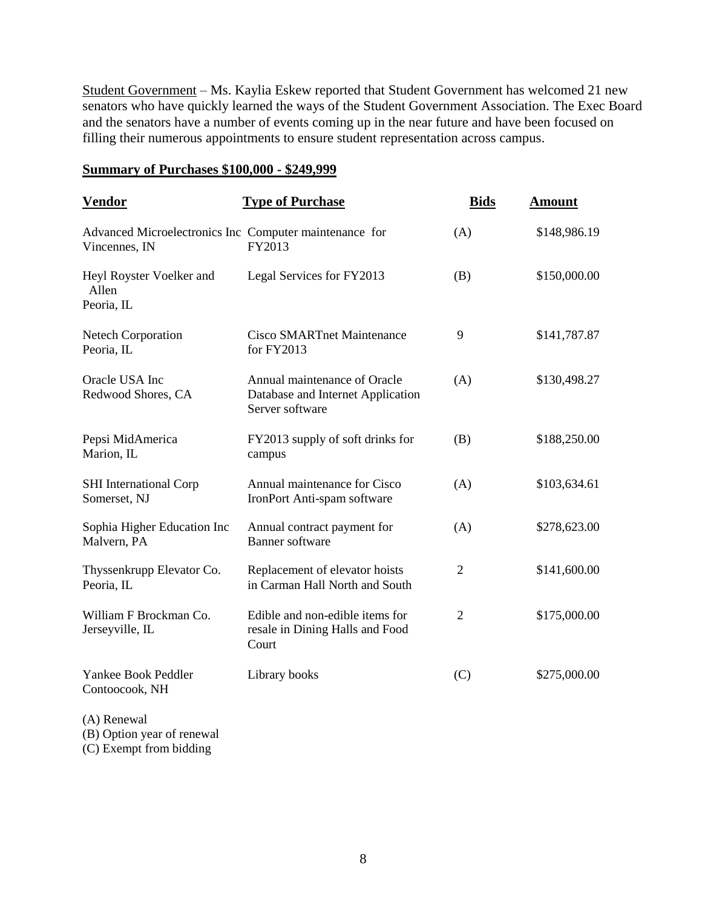Student Government – Ms. Kaylia Eskew reported that Student Government has welcomed 21 new senators who have quickly learned the ways of the Student Government Association. The Exec Board and the senators have a number of events coming up in the near future and have been focused on filling their numerous appointments to ensure student representation across campus.

#### **Summary of Purchases \$100,000 - \$249,999**

| <u>Vendor</u>                                                           | <b>Type of Purchase</b>                                                              | <b>Bids</b>    | <b>Amount</b> |
|-------------------------------------------------------------------------|--------------------------------------------------------------------------------------|----------------|---------------|
| Advanced Microelectronics Inc Computer maintenance for<br>Vincennes, IN | FY2013                                                                               | (A)            | \$148,986.19  |
| Heyl Royster Voelker and<br>Allen<br>Peoria, IL                         | Legal Services for FY2013                                                            | (B)            | \$150,000.00  |
| <b>Netech Corporation</b><br>Peoria, IL                                 | <b>Cisco SMARTnet Maintenance</b><br>for FY2013                                      | 9              | \$141,787.87  |
| Oracle USA Inc<br>Redwood Shores, CA                                    | Annual maintenance of Oracle<br>Database and Internet Application<br>Server software | (A)            | \$130,498.27  |
| Pepsi MidAmerica<br>Marion, IL                                          | FY2013 supply of soft drinks for<br>campus                                           | (B)            | \$188,250.00  |
| <b>SHI</b> International Corp<br>Somerset, NJ                           | Annual maintenance for Cisco<br>IronPort Anti-spam software                          | (A)            | \$103,634.61  |
| Sophia Higher Education Inc<br>Malvern, PA                              | Annual contract payment for<br><b>Banner</b> software                                | (A)            | \$278,623.00  |
| Thyssenkrupp Elevator Co.<br>Peoria, IL                                 | Replacement of elevator hoists<br>in Carman Hall North and South                     | $\overline{2}$ | \$141,600.00  |
| William F Brockman Co.<br>Jerseyville, IL                               | Edible and non-edible items for<br>resale in Dining Halls and Food<br>Court          | $\mathfrak{2}$ | \$175,000.00  |
| Yankee Book Peddler<br>Contoocook, NH                                   | Library books                                                                        | (C)            | \$275,000.00  |
|                                                                         |                                                                                      |                |               |

(A) Renewal (B) Option year of renewal

(C) Exempt from bidding